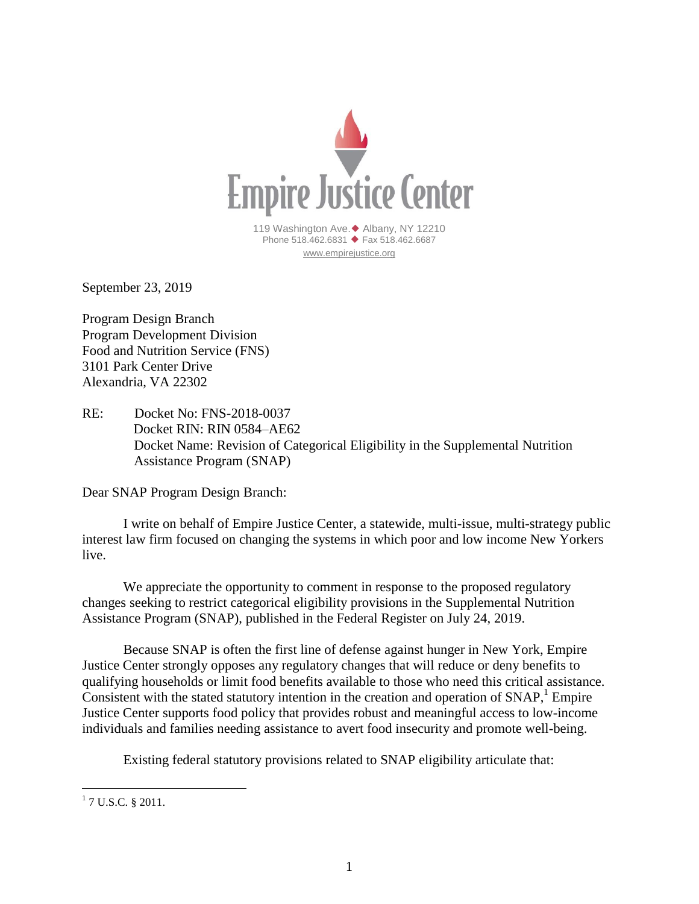

September 23, 2019

Program Design Branch Program Development Division Food and Nutrition Service (FNS) 3101 Park Center Drive Alexandria, VA 22302

RE: Docket No: FNS-2018-0037 Docket RIN: RIN 0584–AE62 Docket Name: Revision of Categorical Eligibility in the Supplemental Nutrition Assistance Program (SNAP)

Dear SNAP Program Design Branch:

I write on behalf of Empire Justice Center, a statewide, multi-issue, multi-strategy public interest law firm focused on changing the systems in which poor and low income New Yorkers live.

We appreciate the opportunity to comment in response to the proposed regulatory changes seeking to restrict categorical eligibility provisions in the Supplemental Nutrition Assistance Program (SNAP), published in the Federal Register on July 24, 2019.

Because SNAP is often the first line of defense against hunger in New York, Empire Justice Center strongly opposes any regulatory changes that will reduce or deny benefits to qualifying households or limit food benefits available to those who need this critical assistance. Consistent with the stated statutory intention in the creation and operation of SNAP,<sup>1</sup> Empire Justice Center supports food policy that provides robust and meaningful access to low-income individuals and families needing assistance to avert food insecurity and promote well-being.

Existing federal statutory provisions related to SNAP eligibility articulate that:

<sup>&</sup>lt;sup>1</sup> 7 U.S.C. § 2011.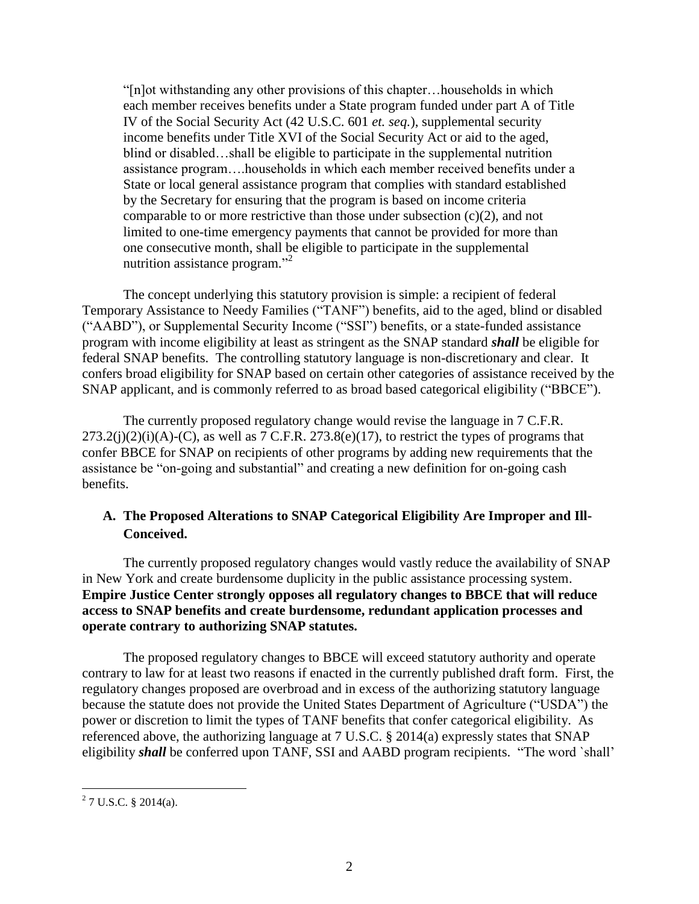"[n]ot withstanding any other provisions of this chapter…households in which each member receives benefits under a State program funded under part A of Title IV of the Social Security Act (42 U.S.C. 601 *et. seq.*), supplemental security income benefits under Title XVI of the Social Security Act or aid to the aged, blind or disabled…shall be eligible to participate in the supplemental nutrition assistance program….households in which each member received benefits under a State or local general assistance program that complies with standard established by the Secretary for ensuring that the program is based on income criteria comparable to or more restrictive than those under subsection  $(c)(2)$ , and not limited to one-time emergency payments that cannot be provided for more than one consecutive month, shall be eligible to participate in the supplemental nutrition assistance program."<sup>2</sup>

The concept underlying this statutory provision is simple: a recipient of federal Temporary Assistance to Needy Families ("TANF") benefits, aid to the aged, blind or disabled ("AABD"), or Supplemental Security Income ("SSI") benefits, or a state-funded assistance program with income eligibility at least as stringent as the SNAP standard *shall* be eligible for federal SNAP benefits. The controlling statutory language is non-discretionary and clear. It confers broad eligibility for SNAP based on certain other categories of assistance received by the SNAP applicant, and is commonly referred to as broad based categorical eligibility ("BBCE").

The currently proposed regulatory change would revise the language in 7 C.F.R.  $273.2(j)(2)(i)(A)-(C)$ , as well as 7 C.F.R.  $273.8(e)(17)$ , to restrict the types of programs that confer BBCE for SNAP on recipients of other programs by adding new requirements that the assistance be "on-going and substantial" and creating a new definition for on-going cash benefits.

## **A. The Proposed Alterations to SNAP Categorical Eligibility Are Improper and Ill-Conceived.**

The currently proposed regulatory changes would vastly reduce the availability of SNAP in New York and create burdensome duplicity in the public assistance processing system. **Empire Justice Center strongly opposes all regulatory changes to BBCE that will reduce access to SNAP benefits and create burdensome, redundant application processes and operate contrary to authorizing SNAP statutes.**

The proposed regulatory changes to BBCE will exceed statutory authority and operate contrary to law for at least two reasons if enacted in the currently published draft form. First, the regulatory changes proposed are overbroad and in excess of the authorizing statutory language because the statute does not provide the United States Department of Agriculture ("USDA") the power or discretion to limit the types of TANF benefits that confer categorical eligibility. As referenced above, the authorizing language at 7 U.S.C. § 2014(a) expressly states that SNAP eligibility *shall* be conferred upon TANF, SSI and AABD program recipients. "The word `shall'

<sup>&</sup>lt;sup>2</sup> 7 U.S.C. § 2014(a).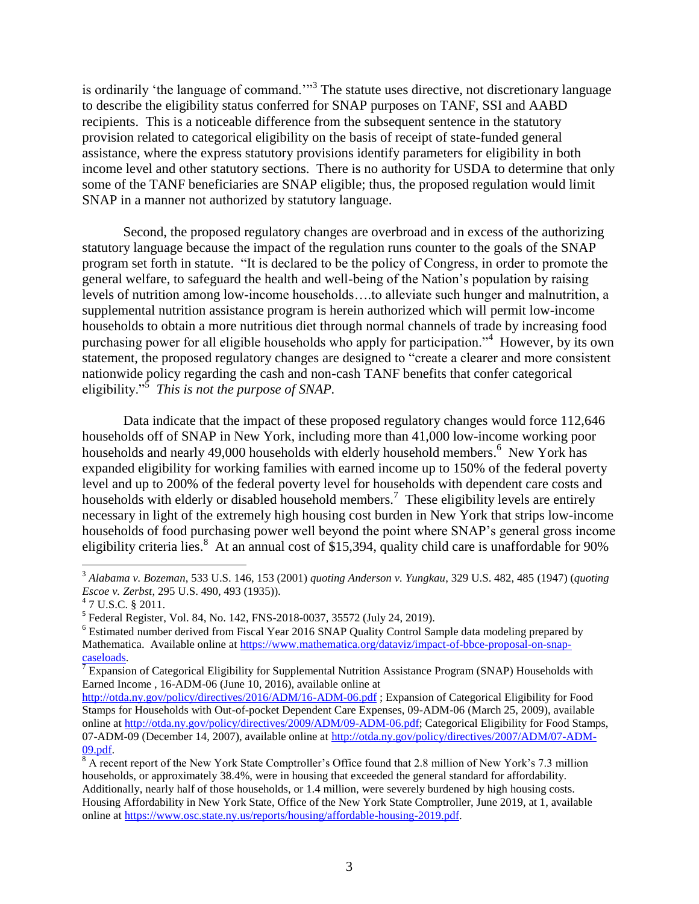is ordinarily 'the language of command.'"<sup>3</sup> The statute uses directive, not discretionary language to describe the eligibility status conferred for SNAP purposes on TANF, SSI and AABD recipients. This is a noticeable difference from the subsequent sentence in the statutory provision related to categorical eligibility on the basis of receipt of state-funded general assistance, where the express statutory provisions identify parameters for eligibility in both income level and other statutory sections. There is no authority for USDA to determine that only some of the TANF beneficiaries are SNAP eligible; thus, the proposed regulation would limit SNAP in a manner not authorized by statutory language.

Second, the proposed regulatory changes are overbroad and in excess of the authorizing statutory language because the impact of the regulation runs counter to the goals of the SNAP program set forth in statute. "It is declared to be the policy of Congress, in order to promote the general welfare, to safeguard the health and well-being of the Nation's population by raising levels of nutrition among low-income households….to alleviate such hunger and malnutrition, a supplemental nutrition assistance program is herein authorized which will permit low-income households to obtain a more nutritious diet through normal channels of trade by increasing food purchasing power for all eligible households who apply for participation."<sup>4</sup> However, by its own statement, the proposed regulatory changes are designed to "create a clearer and more consistent nationwide policy regarding the cash and non-cash TANF benefits that confer categorical eligibility."<sup>5</sup> *This is not the purpose of SNAP.*

Data indicate that the impact of these proposed regulatory changes would force 112,646 households off of SNAP in New York, including more than 41,000 low-income working poor households and nearly 49,000 households with elderly household members.<sup>6</sup> New York has expanded eligibility for working families with earned income up to 150% of the federal poverty level and up to 200% of the federal poverty level for households with dependent care costs and households with elderly or disabled household members.<sup>7</sup> These eligibility levels are entirely necessary in light of the extremely high housing cost burden in New York that strips low-income households of food purchasing power well beyond the point where SNAP's general gross income eligibility criteria lies.<sup>8</sup> At an annual cost of \$15,394, quality child care is unaffordable for 90%

<sup>3</sup> *Alabama v. Bozeman*, 533 U.S. 146, 153 (2001) *quoting Anderson v. Yungkau*, 329 U.S. 482, 485 (1947) (*quoting Escoe v. Zerbst*, 295 U.S. 490, 493 (1935)). 4 7 U.S.C. § 2011.

<sup>&</sup>lt;sup>5</sup> Federal Register, Vol. 84, No. 142, FNS-2018-0037, 35572 (July 24, 2019).

<sup>6</sup> Estimated number derived from Fiscal Year 2016 SNAP Quality Control Sample data modeling prepared by Mathematica. Available online at [https://www.mathematica.org/dataviz/impact-of-bbce-proposal-on-snap](https://www.mathematica.org/dataviz/impact-of-bbce-proposal-on-snap-caseloads)[caseloads.](https://www.mathematica.org/dataviz/impact-of-bbce-proposal-on-snap-caseloads)

<sup>&</sup>lt;sup>7</sup> Expansion of Categorical Eligibility for Supplemental Nutrition Assistance Program (SNAP) Households with Earned Income , 16-ADM-06 (June 10, 2016), available online at

<http://otda.ny.gov/policy/directives/2016/ADM/16-ADM-06.pdf> ; Expansion of Categorical Eligibility for Food Stamps for Households with Out-of-pocket Dependent Care Expenses, 09-ADM-06 (March 25, 2009), available online at [http://otda.ny.gov/policy/directives/2009/ADM/09-ADM-06.pdf;](http://otda.ny.gov/policy/directives/2009/ADM/09-ADM-06.pdf) Categorical Eligibility for Food Stamps, 07-ADM-09 (December 14, 2007), available online at [http://otda.ny.gov/policy/directives/2007/ADM/07-ADM-](http://otda.ny.gov/policy/directives/2007/ADM/07-ADM-09.pdf)[09.pdf.](http://otda.ny.gov/policy/directives/2007/ADM/07-ADM-09.pdf)

 $\overline{8}$  A recent report of the New York State Comptroller's Office found that 2.8 million of New York's 7.3 million households, or approximately 38.4%, were in housing that exceeded the general standard for affordability. Additionally, nearly half of those households, or 1.4 million, were severely burdened by high housing costs. Housing Affordability in New York State, Office of the New York State Comptroller, June 2019, at 1, available online at [https://www.osc.state.ny.us/reports/housing/affordable-housing-2019.pdf.](https://www.osc.state.ny.us/reports/housing/affordable-housing-2019.pdf)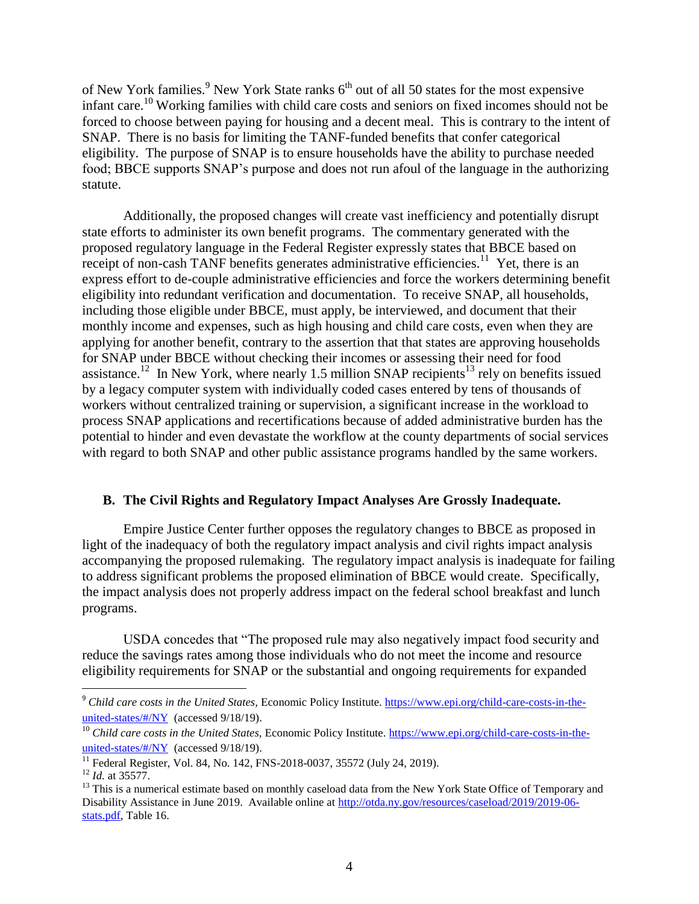of New York families.<sup>9</sup> New York State ranks  $6<sup>th</sup>$  out of all 50 states for the most expensive infant care.<sup>10</sup> Working families with child care costs and seniors on fixed incomes should not be forced to choose between paying for housing and a decent meal. This is contrary to the intent of SNAP. There is no basis for limiting the TANF-funded benefits that confer categorical eligibility. The purpose of SNAP is to ensure households have the ability to purchase needed food; BBCE supports SNAP's purpose and does not run afoul of the language in the authorizing statute.

Additionally, the proposed changes will create vast inefficiency and potentially disrupt state efforts to administer its own benefit programs. The commentary generated with the proposed regulatory language in the Federal Register expressly states that BBCE based on receipt of non-cash TANF benefits generates administrative efficiencies.<sup>11</sup> Yet, there is an express effort to de-couple administrative efficiencies and force the workers determining benefit eligibility into redundant verification and documentation. To receive SNAP, all households, including those eligible under BBCE, must apply, be interviewed, and document that their monthly income and expenses, such as high housing and child care costs, even when they are applying for another benefit, contrary to the assertion that that states are approving households for SNAP under BBCE without checking their incomes or assessing their need for food assistance.<sup>12</sup> In New York, where nearly 1.5 million SNAP recipients<sup>13</sup> rely on benefits issued by a legacy computer system with individually coded cases entered by tens of thousands of workers without centralized training or supervision, a significant increase in the workload to process SNAP applications and recertifications because of added administrative burden has the potential to hinder and even devastate the workflow at the county departments of social services with regard to both SNAP and other public assistance programs handled by the same workers.

## **B. The Civil Rights and Regulatory Impact Analyses Are Grossly Inadequate.**

Empire Justice Center further opposes the regulatory changes to BBCE as proposed in light of the inadequacy of both the regulatory impact analysis and civil rights impact analysis accompanying the proposed rulemaking. The regulatory impact analysis is inadequate for failing to address significant problems the proposed elimination of BBCE would create. Specifically, the impact analysis does not properly address impact on the federal school breakfast and lunch programs.

USDA concedes that "The proposed rule may also negatively impact food security and reduce the savings rates among those individuals who do not meet the income and resource eligibility requirements for SNAP or the substantial and ongoing requirements for expanded

<sup>&</sup>lt;sup>9</sup> Child care costs in the United States, Economic Policy Institute. [https://www.epi.org/child-care-costs-in-the](https://www.epi.org/child-care-costs-in-the-united-states/#/NY)[united-states/#/NY](https://www.epi.org/child-care-costs-in-the-united-states/#/NY) (accessed 9/18/19).

<sup>&</sup>lt;sup>10</sup> *Child care costs in the United States, Economic Policy Institute. [https://www.epi.org/child-care-costs-in-the](https://www.epi.org/child-care-costs-in-the-united-states/#/NY)*[united-states/#/NY](https://www.epi.org/child-care-costs-in-the-united-states/#/NY) (accessed 9/18/19).

<sup>&</sup>lt;sup>11</sup> Federal Register, Vol. 84, No. 142, FNS-2018-0037, 35572 (July 24, 2019).

<sup>12</sup> *Id.* at 35577.

<sup>&</sup>lt;sup>13</sup> This is a numerical estimate based on monthly caseload data from the New York State Office of Temporary and Disability Assistance in June 2019. Available online at [http://otda.ny.gov/resources/caseload/2019/2019-06](http://otda.ny.gov/resources/caseload/2019/2019-06-stats.pdf) [stats.pdf,](http://otda.ny.gov/resources/caseload/2019/2019-06-stats.pdf) Table 16.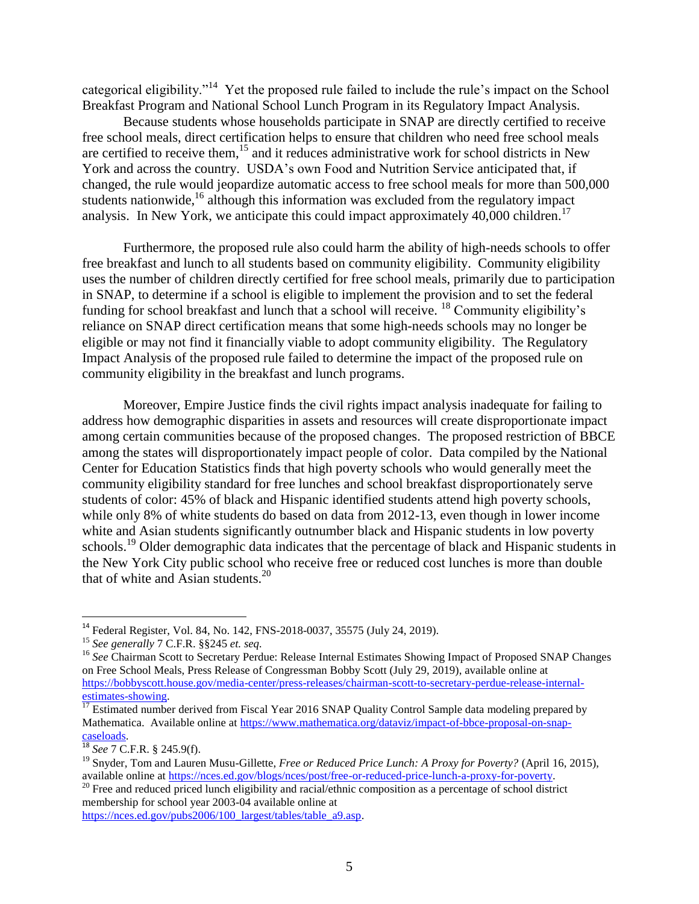categorical eligibility."<sup>14</sup> Yet the proposed rule failed to include the rule's impact on the School Breakfast Program and National School Lunch Program in its Regulatory Impact Analysis.

Because students whose households participate in SNAP are directly certified to receive free school meals, direct certification helps to ensure that children who need free school meals are certified to receive them,<sup>15</sup> and it reduces administrative work for school districts in New York and across the country. USDA's own Food and Nutrition Service anticipated that, if changed, the rule would jeopardize automatic access to free school meals for more than 500,000 students nationwide,<sup>16</sup> although this information was excluded from the regulatory impact analysis. In New York, we anticipate this could impact approximately 40,000 children.<sup>17</sup>

Furthermore, the proposed rule also could harm the ability of high-needs schools to offer free breakfast and lunch to all students based on community eligibility. Community eligibility uses the number of children directly certified for free school meals, primarily due to participation in SNAP, to determine if a school is eligible to implement the provision and to set the federal funding for school breakfast and lunch that a school will receive. <sup>18</sup> Community eligibility's reliance on SNAP direct certification means that some high-needs schools may no longer be eligible or may not find it financially viable to adopt community eligibility. The Regulatory Impact Analysis of the proposed rule failed to determine the impact of the proposed rule on community eligibility in the breakfast and lunch programs.

Moreover, Empire Justice finds the civil rights impact analysis inadequate for failing to address how demographic disparities in assets and resources will create disproportionate impact among certain communities because of the proposed changes. The proposed restriction of BBCE among the states will disproportionately impact people of color. Data compiled by the National Center for Education Statistics finds that high poverty schools who would generally meet the community eligibility standard for free lunches and school breakfast disproportionately serve students of color: 45% of black and Hispanic identified students attend high poverty schools, while only 8% of white students do based on data from 2012-13, even though in lower income white and Asian students significantly outnumber black and Hispanic students in low poverty schools.<sup>19</sup> Older demographic data indicates that the percentage of black and Hispanic students in the New York City public school who receive free or reduced cost lunches is more than double that of white and Asian students. $20$ 

<sup>&</sup>lt;sup>14</sup> Federal Register, Vol. 84, No. 142, FNS-2018-0037, 35575 (July 24, 2019).

<sup>15</sup> *See generally* 7 C.F.R. §§245 *et. seq.*

<sup>&</sup>lt;sup>16</sup> See Chairman Scott to Secretary Perdue: Release Internal Estimates Showing Impact of Proposed SNAP Changes on Free School Meals, Press Release of Congressman Bobby Scott (July 29, 2019), available online at [https://bobbyscott.house.gov/media-center/press-releases/chairman-scott-to-secretary-perdue-release-internal](https://bobbyscott.house.gov/media-center/press-releases/chairman-scott-to-secretary-perdue-release-internal-estimates-showing)[estimates-showing.](https://bobbyscott.house.gov/media-center/press-releases/chairman-scott-to-secretary-perdue-release-internal-estimates-showing) 

<sup>&</sup>lt;sup>17</sup> Estimated number derived from Fiscal Year 2016 SNAP Quality Control Sample data modeling prepared by Mathematica. Available online at [https://www.mathematica.org/dataviz/impact-of-bbce-proposal-on-snap](https://www.mathematica.org/dataviz/impact-of-bbce-proposal-on-snap-caseloads)[caseloads.](https://www.mathematica.org/dataviz/impact-of-bbce-proposal-on-snap-caseloads)

<sup>18</sup> *See* 7 C.F.R. § 245.9(f).

<sup>&</sup>lt;sup>19</sup> Snyder, Tom and Lauren Musu-Gillette, *Free or Reduced Price Lunch: A Proxy for Poverty?* (April 16, 2015), available online at [https://nces.ed.gov/blogs/nces/post/free-or-reduced-price-lunch-a-proxy-for-poverty.](https://nces.ed.gov/blogs/nces/post/free-or-reduced-price-lunch-a-proxy-for-poverty) 

<sup>&</sup>lt;sup>20</sup> Free and reduced priced lunch eligibility and racial/ethnic composition as a percentage of school district membership for school year 2003-04 available online at

[https://nces.ed.gov/pubs2006/100\\_largest/tables/table\\_a9.asp.](https://nces.ed.gov/pubs2006/100_largest/tables/table_a9.asp)